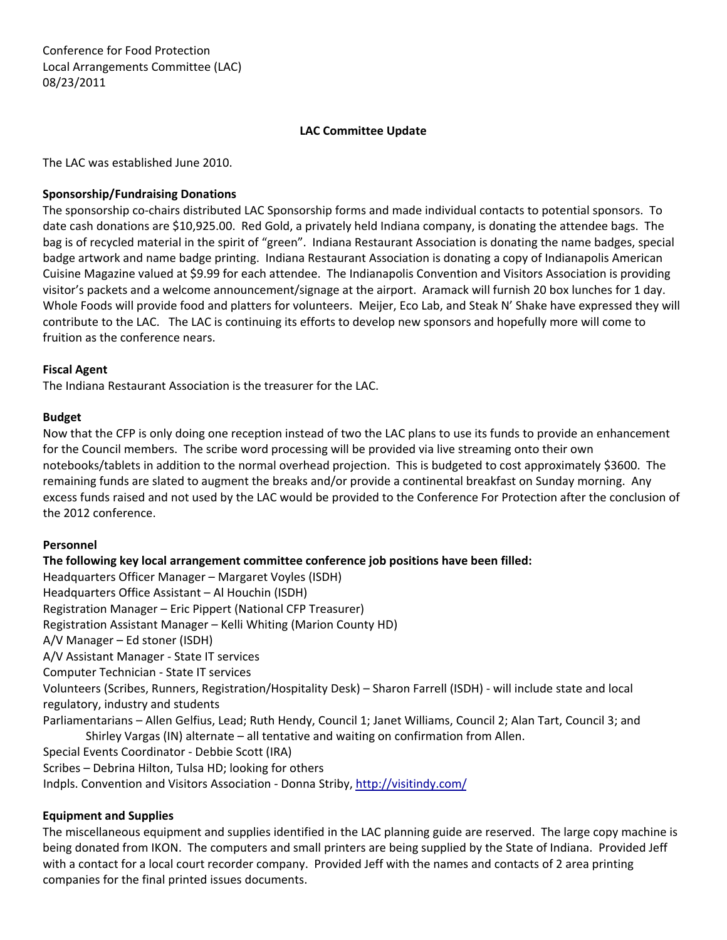Conference for Food Protection Local Arrangements Committee (LAC) 08/23/2011

# **LAC Committee Update**

The LAC was established June 2010.

## **Sponsorship/Fundraising Donations**

The sponsorship co‐chairs distributed LAC Sponsorship forms and made individual contacts to potential sponsors. To date cash donations are \$10,925.00. Red Gold, a privately held Indiana company, is donating the attendee bags. The bag is of recycled material in the spirit of "green". Indiana Restaurant Association is donating the name badges, special badge artwork and name badge printing. Indiana Restaurant Association is donating a copy of Indianapolis American Cuisine Magazine valued at \$9.99 for each attendee. The Indianapolis Convention and Visitors Association is providing visitor's packets and a welcome announcement/signage at the airport. Aramack will furnish 20 box lunches for 1 day. Whole Foods will provide food and platters for volunteers. Meijer, Eco Lab, and Steak N' Shake have expressed they will contribute to the LAC. The LAC is continuing its efforts to develop new sponsors and hopefully more will come to fruition as the conference nears.

### **Fiscal Agent**

The Indiana Restaurant Association is the treasurer for the LAC.

#### **Budget**

Now that the CFP is only doing one reception instead of two the LAC plans to use its funds to provide an enhancement for the Council members. The scribe word processing will be provided via live streaming onto their own notebooks/tablets in addition to the normal overhead projection. This is budgeted to cost approximately \$3600. The remaining funds are slated to augment the breaks and/or provide a continental breakfast on Sunday morning. Any excess funds raised and not used by the LAC would be provided to the Conference For Protection after the conclusion of the 2012 conference.

#### **Personnel**

**The following key local arrangement committee conference job positions have been filled:** Headquarters Officer Manager – Margaret Voyles (ISDH) Headquarters Office Assistant – Al Houchin (ISDH) Registration Manager – Eric Pippert (National CFP Treasurer) Registration Assistant Manager – Kelli Whiting (Marion County HD) A/V Manager – Ed stoner (ISDH) A/V Assistant Manager ‐ State IT services Computer Technician ‐ State IT services Volunteers (Scribes, Runners, Registration/Hospitality Desk) – Sharon Farrell (ISDH) ‐ will include state and local regulatory, industry and students Parliamentarians – Allen Gelfius, Lead; Ruth Hendy, Council 1; Janet Williams, Council 2; Alan Tart, Council 3; and Shirley Vargas (IN) alternate – all tentative and waiting on confirmation from Allen. Special Events Coordinator ‐ Debbie Scott (IRA) Scribes – Debrina Hilton, Tulsa HD; looking for others Indpls. Convention and Visitors Association ‐ Donna Striby, <http://visitindy.com/>

# **Equipment and Supplies**

The miscellaneous equipment and supplies identified in the LAC planning guide are reserved. The large copy machine is being donated from IKON. The computers and small printers are being supplied by the State of Indiana. Provided Jeff with a contact for a local court recorder company. Provided Jeff with the names and contacts of 2 area printing companies for the final printed issues documents.